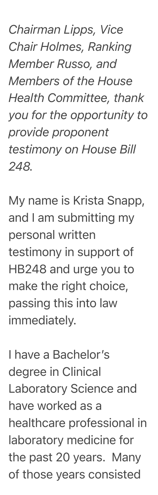*Chairman Lipps, Vice Chair Holmes, Ranking Member Russo, and Members of the House Health Committee, thank you for the opportunity to provide proponent testimony on House Bill 248.*

My name is Krista Snapp, and I am submitting my personal written testimony in support of HB248 and urge you to make the right choice, passing this into law immediately.

I have a Bachelor's degree in Clinical Laboratory Science and have worked as a healthcare professional in laboratory medicine for the past 20 years. Many of those years consisted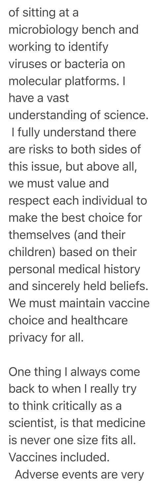of sitting at a microbiology bench and working to identify viruses or bacteria on molecular platforms. I have a vast

understanding of science.

I fully understand there are risks to both sides of this issue, but above all, we must value and respect each individual to make the best choice for themselves (and their children) based on their personal medical history and sincerely held beliefs. We must maintain vaccine choice and healthcare privacy for all.

One thing I always come back to when I really try to think critically as a scientist, is that medicine is never one size fits all. Vaccines included. Adverse events are very